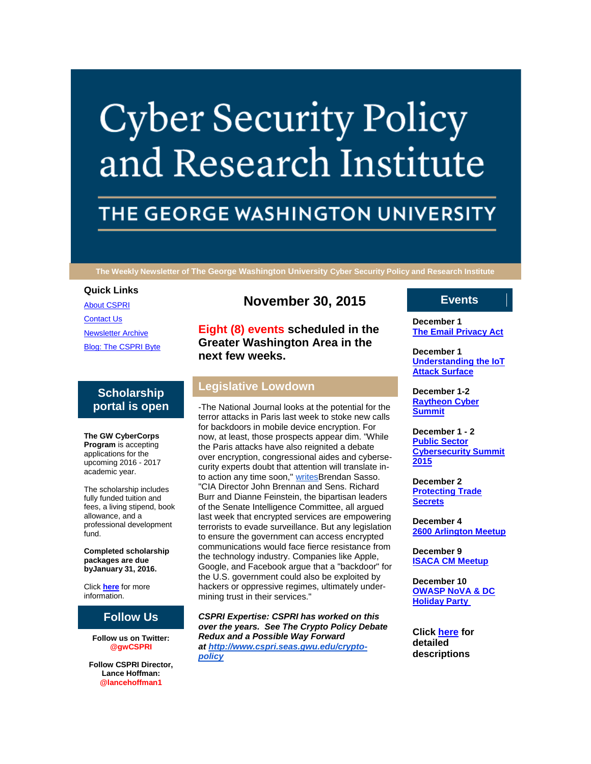# **Cyber Security Policy** and Research Institute

# THE GEORGE WASHINGTON UNIVERSITY

**The Weekly Newsletter of The George Washington University Cyber Security Policy and Research Institute**

### **Quick Links**

[About CSPRI](http://r20.rs6.net/tn.jsp?f=001_dGAbsr7gKyXKZYhRiX_u6F_rLBZz1ExK44gSI9wEjs-KosgAIcQifqh2EMXxLhCX_ik9Xe2EBq-rEqrKWk511l80x_E49C4f57Nyyin2Th_LeN_hAVELJ_faQRWvqQ9EpH-WGJXeBZo8twgtZ-STdlhgnErl2emcjJchFGjo1aPKN60eIXmSwl3mwHIwXiz&c=wGkLpPSafl-FMFp1pVTpu8hxMLdBY78uNoANqc5ZUHyaObpAj-kcYw==&ch=rRH19TzSlQ5KSTybJJGM2IhoifvwKbBmuY03gxnb5mtDkpSWlPo9zw==) [Contact Us](http://r20.rs6.net/tn.jsp?f=001_dGAbsr7gKyXKZYhRiX_u6F_rLBZz1ExK44gSI9wEjs-KosgAIcQifqh2EMXxLhCW9-Wxn8gYpaPtsdAEpYH9EHlMBtirDCd0-ZccPF1Kra_7jtfkXSd8FcLoT9h5ueduW4ZD_7eo0xrvAj4jVCUTjoXWkv59t8GdcFoaejqKAhIM15D68QHN-qe9cM3igaOJ-0VunIITj4=&c=wGkLpPSafl-FMFp1pVTpu8hxMLdBY78uNoANqc5ZUHyaObpAj-kcYw==&ch=rRH19TzSlQ5KSTybJJGM2IhoifvwKbBmuY03gxnb5mtDkpSWlPo9zw==) [Newsletter Archive](http://r20.rs6.net/tn.jsp?f=001_dGAbsr7gKyXKZYhRiX_u6F_rLBZz1ExK44gSI9wEjs-KosgAIcQifqh2EMXxLhCbwbDncYsx1PexcAspPmMTqJXrtM3ZjnQfky0kM1tvVneZyMz_OEyjnG35dBdULcwrwGxwC7GqqZgsWKsXaMQ_Y5iXLV5iDsZgZ46PgHeO94xDXTR2tCjQzSl-wlnxcTI9v3np_DUrKo=&c=wGkLpPSafl-FMFp1pVTpu8hxMLdBY78uNoANqc5ZUHyaObpAj-kcYw==&ch=rRH19TzSlQ5KSTybJJGM2IhoifvwKbBmuY03gxnb5mtDkpSWlPo9zw==) [Blog: The CSPRI Byte](http://r20.rs6.net/tn.jsp?f=001_dGAbsr7gKyXKZYhRiX_u6F_rLBZz1ExK44gSI9wEjs-KosgAIcQifqh2EMXxLhCX0YTIjZ_99DeiJlfEnADDo0Nqh4sxjzwvN1bAR409rbUSiureoxoIi1qwaFu-4g5EIkCrCMzH-Wbs1BG5lYcA0EFtQa5Sv2srgCQ-4e-IfVwFUjWdcHzQ_R1TC7NhyVs&c=wGkLpPSafl-FMFp1pVTpu8hxMLdBY78uNoANqc5ZUHyaObpAj-kcYw==&ch=rRH19TzSlQ5KSTybJJGM2IhoifvwKbBmuY03gxnb5mtDkpSWlPo9zw==)

# **Scholarship portal is open**

**The GW CyberCorps Program** is accepting applications for the upcoming 2016 - 2017 academic year.

The scholarship includes fully funded tuition and fees, a living stipend, book allowance, and a professional development fund.

**Completed scholarship packages are due byJanuary 31, 2016.**

Click **[here](http://r20.rs6.net/tn.jsp?f=001_dGAbsr7gKyXKZYhRiX_u6F_rLBZz1ExK44gSI9wEjs-KosgAIcQiZO5CAZBikJQnlU6_vfd930YKFtQvs2qhR5-Ja2MiZvalbeYN_keFOjyVbr7YEC2YsEdANAu7E0xCnyXv2OAOoUMrUt894hclEIhKj5G5kfjgqsxEUTvyZC-TFBtI5WoXGBJEmfh0fZ4&c=wGkLpPSafl-FMFp1pVTpu8hxMLdBY78uNoANqc5ZUHyaObpAj-kcYw==&ch=rRH19TzSlQ5KSTybJJGM2IhoifvwKbBmuY03gxnb5mtDkpSWlPo9zw==)** for more information.

# **Follow Us**

**Follow us on Twitter: @gwCSPRI**

**Follow CSPRI Director, Lance Hoffman: @lancehoffman1**

# **November 30, 2015**

**Eight (8) events scheduled in the Greater Washington Area in the next few weeks.**

# **Legislative Lowdown**

-The National Journal looks at the potential for the terror attacks in Paris last week to stoke new calls for backdoors in mobile device encryption. For now, at least, those prospects appear dim. "While the Paris attacks have also reignited a debate over encryption, congressional aides and cybersecurity experts doubt that attention will translate into action any time soon," [writesB](http://r20.rs6.net/tn.jsp?f=001_dGAbsr7gKyXKZYhRiX_u6F_rLBZz1ExK44gSI9wEjs-KosgAIcQiWJlJyTTrM0f-vm2cegFqeAFB4bb7AuKbJR9gzj9TdoWtradbhAV41qviJylZrgPClqo5rCwJuu8dPR1AHUMvvG-zsmO1wCKlyUYToK2lRTvpo9VcIByAA5BQ_jdLhGtzApTsZqYo5ooWMugH6HLABh99jcRKIHBU3idtyJasw_4DTQxNWKGAP8rdZpAh-stqRJjYRaLXTpNcZPemRDP4IYZLBzAKWhf6uECsI8hw7lDHeqDwFfN2dFj2lsAy24yBQ==&c=wGkLpPSafl-FMFp1pVTpu8hxMLdBY78uNoANqc5ZUHyaObpAj-kcYw==&ch=rRH19TzSlQ5KSTybJJGM2IhoifvwKbBmuY03gxnb5mtDkpSWlPo9zw==)rendan Sasso. "CIA Director John Brennan and Sens. Richard Burr and Dianne Feinstein, the bipartisan leaders of the Senate Intelligence Committee, all argued last week that encrypted services are empowering terrorists to evade surveillance. But any legislation to ensure the government can access encrypted communications would face fierce resistance from the technology industry. Companies like Apple, Google, and Facebook argue that a "backdoor" for the U.S. government could also be exploited by hackers or oppressive regimes, ultimately undermining trust in their services."

*CSPRI Expertise: CSPRI has worked on this over the years. See The Crypto Policy Debate Redux and a Possible Way Forward at [http://www.cspri.seas.gwu.edu/crypto](http://r20.rs6.net/tn.jsp?f=001_dGAbsr7gKyXKZYhRiX_u6F_rLBZz1ExK44gSI9wEjs-KosgAIcQifoLluAY2JGPTMcFzfb7IdQBMfOtEXw95_VS7YmPAJx2UO119clvf67yBKhCYlaA71DzN6PSmPDCUzbqKg4lIgYriVfsFU5d_NfJK_e3jvPFwaJ3hfVPY236y98KmseQXld8pHUPVKYjRP4eNK3dFqw=&c=wGkLpPSafl-FMFp1pVTpu8hxMLdBY78uNoANqc5ZUHyaObpAj-kcYw==&ch=rRH19TzSlQ5KSTybJJGM2IhoifvwKbBmuY03gxnb5mtDkpSWlPo9zw==)[policy](http://r20.rs6.net/tn.jsp?f=001_dGAbsr7gKyXKZYhRiX_u6F_rLBZz1ExK44gSI9wEjs-KosgAIcQifoLluAY2JGPTMcFzfb7IdQBMfOtEXw95_VS7YmPAJx2UO119clvf67yBKhCYlaA71DzN6PSmPDCUzbqKg4lIgYriVfsFU5d_NfJK_e3jvPFwaJ3hfVPY236y98KmseQXld8pHUPVKYjRP4eNK3dFqw=&c=wGkLpPSafl-FMFp1pVTpu8hxMLdBY78uNoANqc5ZUHyaObpAj-kcYw==&ch=rRH19TzSlQ5KSTybJJGM2IhoifvwKbBmuY03gxnb5mtDkpSWlPo9zw==)*

# **Events**

**December 1 [The Email Privacy Act](http://r20.rs6.net/tn.jsp?f=001_dGAbsr7gKyXKZYhRiX_u6F_rLBZz1ExK44gSI9wEjs-KosgAIcQidnIJUiSZc3U4mpVXTDOJBrsbQIYTy0i7piSlPtcNk-R90RuzIhd1YkQjJAg5tsKVlQNoS9V69qE9R1LrvsGWCn_mV_smX3H5C-4sy_AdQ7AF3PsNM_Wm1Bx0CW669JzsPH1kWjr0-G4j7tmWGJynbw=&c=wGkLpPSafl-FMFp1pVTpu8hxMLdBY78uNoANqc5ZUHyaObpAj-kcYw==&ch=rRH19TzSlQ5KSTybJJGM2IhoifvwKbBmuY03gxnb5mtDkpSWlPo9zw==)**

**December 1 [Understanding the IoT](http://r20.rs6.net/tn.jsp?f=001_dGAbsr7gKyXKZYhRiX_u6F_rLBZz1ExK44gSI9wEjs-KosgAIcQidnIJUiSZc3U4mpVXTDOJBrsbQIYTy0i7piSlPtcNk-R90RuzIhd1YkQjJAg5tsKVlQNoS9V69qE9R1LrvsGWCn_mV_smX3H5C-4sy_AdQ7AF3PsNM_Wm1Bx0CW669JzsPH1kWjr0-G4j7tmWGJynbw=&c=wGkLpPSafl-FMFp1pVTpu8hxMLdBY78uNoANqc5ZUHyaObpAj-kcYw==&ch=rRH19TzSlQ5KSTybJJGM2IhoifvwKbBmuY03gxnb5mtDkpSWlPo9zw==)  [Attack Surface](http://r20.rs6.net/tn.jsp?f=001_dGAbsr7gKyXKZYhRiX_u6F_rLBZz1ExK44gSI9wEjs-KosgAIcQidnIJUiSZc3U4mpVXTDOJBrsbQIYTy0i7piSlPtcNk-R90RuzIhd1YkQjJAg5tsKVlQNoS9V69qE9R1LrvsGWCn_mV_smX3H5C-4sy_AdQ7AF3PsNM_Wm1Bx0CW669JzsPH1kWjr0-G4j7tmWGJynbw=&c=wGkLpPSafl-FMFp1pVTpu8hxMLdBY78uNoANqc5ZUHyaObpAj-kcYw==&ch=rRH19TzSlQ5KSTybJJGM2IhoifvwKbBmuY03gxnb5mtDkpSWlPo9zw==)**

**December 1-2 [Raytheon Cyber](http://r20.rs6.net/tn.jsp?f=001_dGAbsr7gKyXKZYhRiX_u6F_rLBZz1ExK44gSI9wEjs-KosgAIcQidnIJUiSZc3U4mpVXTDOJBrsbQIYTy0i7piSlPtcNk-R90RuzIhd1YkQjJAg5tsKVlQNoS9V69qE9R1LrvsGWCn_mV_smX3H5C-4sy_AdQ7AF3PsNM_Wm1Bx0CW669JzsPH1kWjr0-G4j7tmWGJynbw=&c=wGkLpPSafl-FMFp1pVTpu8hxMLdBY78uNoANqc5ZUHyaObpAj-kcYw==&ch=rRH19TzSlQ5KSTybJJGM2IhoifvwKbBmuY03gxnb5mtDkpSWlPo9zw==)  [Summit](http://r20.rs6.net/tn.jsp?f=001_dGAbsr7gKyXKZYhRiX_u6F_rLBZz1ExK44gSI9wEjs-KosgAIcQidnIJUiSZc3U4mpVXTDOJBrsbQIYTy0i7piSlPtcNk-R90RuzIhd1YkQjJAg5tsKVlQNoS9V69qE9R1LrvsGWCn_mV_smX3H5C-4sy_AdQ7AF3PsNM_Wm1Bx0CW669JzsPH1kWjr0-G4j7tmWGJynbw=&c=wGkLpPSafl-FMFp1pVTpu8hxMLdBY78uNoANqc5ZUHyaObpAj-kcYw==&ch=rRH19TzSlQ5KSTybJJGM2IhoifvwKbBmuY03gxnb5mtDkpSWlPo9zw==)**

**December 1 - 2 [Public Sector](http://r20.rs6.net/tn.jsp?f=001_dGAbsr7gKyXKZYhRiX_u6F_rLBZz1ExK44gSI9wEjs-KosgAIcQidnIJUiSZc3U4mpVXTDOJBrsbQIYTy0i7piSlPtcNk-R90RuzIhd1YkQjJAg5tsKVlQNoS9V69qE9R1LrvsGWCn_mV_smX3H5C-4sy_AdQ7AF3PsNM_Wm1Bx0CW669JzsPH1kWjr0-G4j7tmWGJynbw=&c=wGkLpPSafl-FMFp1pVTpu8hxMLdBY78uNoANqc5ZUHyaObpAj-kcYw==&ch=rRH19TzSlQ5KSTybJJGM2IhoifvwKbBmuY03gxnb5mtDkpSWlPo9zw==)  [Cybersecurity Summit](http://r20.rs6.net/tn.jsp?f=001_dGAbsr7gKyXKZYhRiX_u6F_rLBZz1ExK44gSI9wEjs-KosgAIcQidnIJUiSZc3U4mpVXTDOJBrsbQIYTy0i7piSlPtcNk-R90RuzIhd1YkQjJAg5tsKVlQNoS9V69qE9R1LrvsGWCn_mV_smX3H5C-4sy_AdQ7AF3PsNM_Wm1Bx0CW669JzsPH1kWjr0-G4j7tmWGJynbw=&c=wGkLpPSafl-FMFp1pVTpu8hxMLdBY78uNoANqc5ZUHyaObpAj-kcYw==&ch=rRH19TzSlQ5KSTybJJGM2IhoifvwKbBmuY03gxnb5mtDkpSWlPo9zw==)  [2015](http://r20.rs6.net/tn.jsp?f=001_dGAbsr7gKyXKZYhRiX_u6F_rLBZz1ExK44gSI9wEjs-KosgAIcQidnIJUiSZc3U4mpVXTDOJBrsbQIYTy0i7piSlPtcNk-R90RuzIhd1YkQjJAg5tsKVlQNoS9V69qE9R1LrvsGWCn_mV_smX3H5C-4sy_AdQ7AF3PsNM_Wm1Bx0CW669JzsPH1kWjr0-G4j7tmWGJynbw=&c=wGkLpPSafl-FMFp1pVTpu8hxMLdBY78uNoANqc5ZUHyaObpAj-kcYw==&ch=rRH19TzSlQ5KSTybJJGM2IhoifvwKbBmuY03gxnb5mtDkpSWlPo9zw==)**

**December 2 [Protecting Trade](http://r20.rs6.net/tn.jsp?f=001_dGAbsr7gKyXKZYhRiX_u6F_rLBZz1ExK44gSI9wEjs-KosgAIcQidnIJUiSZc3U4mpVXTDOJBrsbQIYTy0i7piSlPtcNk-R90RuzIhd1YkQjJAg5tsKVlQNoS9V69qE9R1LrvsGWCn_mV_smX3H5C-4sy_AdQ7AF3PsNM_Wm1Bx0CW669JzsPH1kWjr0-G4j7tmWGJynbw=&c=wGkLpPSafl-FMFp1pVTpu8hxMLdBY78uNoANqc5ZUHyaObpAj-kcYw==&ch=rRH19TzSlQ5KSTybJJGM2IhoifvwKbBmuY03gxnb5mtDkpSWlPo9zw==)  [Secrets](http://r20.rs6.net/tn.jsp?f=001_dGAbsr7gKyXKZYhRiX_u6F_rLBZz1ExK44gSI9wEjs-KosgAIcQidnIJUiSZc3U4mpVXTDOJBrsbQIYTy0i7piSlPtcNk-R90RuzIhd1YkQjJAg5tsKVlQNoS9V69qE9R1LrvsGWCn_mV_smX3H5C-4sy_AdQ7AF3PsNM_Wm1Bx0CW669JzsPH1kWjr0-G4j7tmWGJynbw=&c=wGkLpPSafl-FMFp1pVTpu8hxMLdBY78uNoANqc5ZUHyaObpAj-kcYw==&ch=rRH19TzSlQ5KSTybJJGM2IhoifvwKbBmuY03gxnb5mtDkpSWlPo9zw==)**

**December 4 [2600 Arlington Meetup](http://r20.rs6.net/tn.jsp?f=001_dGAbsr7gKyXKZYhRiX_u6F_rLBZz1ExK44gSI9wEjs-KosgAIcQidnIJUiSZc3U4mpVXTDOJBrsbQIYTy0i7piSlPtcNk-R90RuzIhd1YkQjJAg5tsKVlQNoS9V69qE9R1LrvsGWCn_mV_smX3H5C-4sy_AdQ7AF3PsNM_Wm1Bx0CW669JzsPH1kWjr0-G4j7tmWGJynbw=&c=wGkLpPSafl-FMFp1pVTpu8hxMLdBY78uNoANqc5ZUHyaObpAj-kcYw==&ch=rRH19TzSlQ5KSTybJJGM2IhoifvwKbBmuY03gxnb5mtDkpSWlPo9zw==)**

**December 9 [ISACA CM Meetup](http://r20.rs6.net/tn.jsp?f=001_dGAbsr7gKyXKZYhRiX_u6F_rLBZz1ExK44gSI9wEjs-KosgAIcQidnIJUiSZc3U4mpVXTDOJBrsbQIYTy0i7piSlPtcNk-R90RuzIhd1YkQjJAg5tsKVlQNoS9V69qE9R1LrvsGWCn_mV_smX3H5C-4sy_AdQ7AF3PsNM_Wm1Bx0CW669JzsPH1kWjr0-G4j7tmWGJynbw=&c=wGkLpPSafl-FMFp1pVTpu8hxMLdBY78uNoANqc5ZUHyaObpAj-kcYw==&ch=rRH19TzSlQ5KSTybJJGM2IhoifvwKbBmuY03gxnb5mtDkpSWlPo9zw==)**

**December 10 [OWASP NoVA & DC](http://r20.rs6.net/tn.jsp?f=001_dGAbsr7gKyXKZYhRiX_u6F_rLBZz1ExK44gSI9wEjs-KosgAIcQidnIJUiSZc3U4mpVXTDOJBrsbQIYTy0i7piSlPtcNk-R90RuzIhd1YkQjJAg5tsKVlQNoS9V69qE9R1LrvsGWCn_mV_smX3H5C-4sy_AdQ7AF3PsNM_Wm1Bx0CW669JzsPH1kWjr0-G4j7tmWGJynbw=&c=wGkLpPSafl-FMFp1pVTpu8hxMLdBY78uNoANqc5ZUHyaObpAj-kcYw==&ch=rRH19TzSlQ5KSTybJJGM2IhoifvwKbBmuY03gxnb5mtDkpSWlPo9zw==)  [Holiday Party](http://r20.rs6.net/tn.jsp?f=001_dGAbsr7gKyXKZYhRiX_u6F_rLBZz1ExK44gSI9wEjs-KosgAIcQidnIJUiSZc3U4mpVXTDOJBrsbQIYTy0i7piSlPtcNk-R90RuzIhd1YkQjJAg5tsKVlQNoS9V69qE9R1LrvsGWCn_mV_smX3H5C-4sy_AdQ7AF3PsNM_Wm1Bx0CW669JzsPH1kWjr0-G4j7tmWGJynbw=&c=wGkLpPSafl-FMFp1pVTpu8hxMLdBY78uNoANqc5ZUHyaObpAj-kcYw==&ch=rRH19TzSlQ5KSTybJJGM2IhoifvwKbBmuY03gxnb5mtDkpSWlPo9zw==)**

**Click [here](http://r20.rs6.net/tn.jsp?f=001_dGAbsr7gKyXKZYhRiX_u6F_rLBZz1ExK44gSI9wEjs-KosgAIcQifqh2EMXxLhCQBhRVLnThdxMEUd6BTqLrvlVHtp1MgDQ-mmw2ObXJnikEOIdr-W8QoA_SVSEDaiFcJRMXLZKdL6j2tnUMs1r-SAl1jFvY3tt4eME1lM-gPf0DXWRGV02cFjIR0zruLzYA3KHgzyFn0UXTMZnJRPByA==&c=wGkLpPSafl-FMFp1pVTpu8hxMLdBY78uNoANqc5ZUHyaObpAj-kcYw==&ch=rRH19TzSlQ5KSTybJJGM2IhoifvwKbBmuY03gxnb5mtDkpSWlPo9zw==) for detailed descriptions**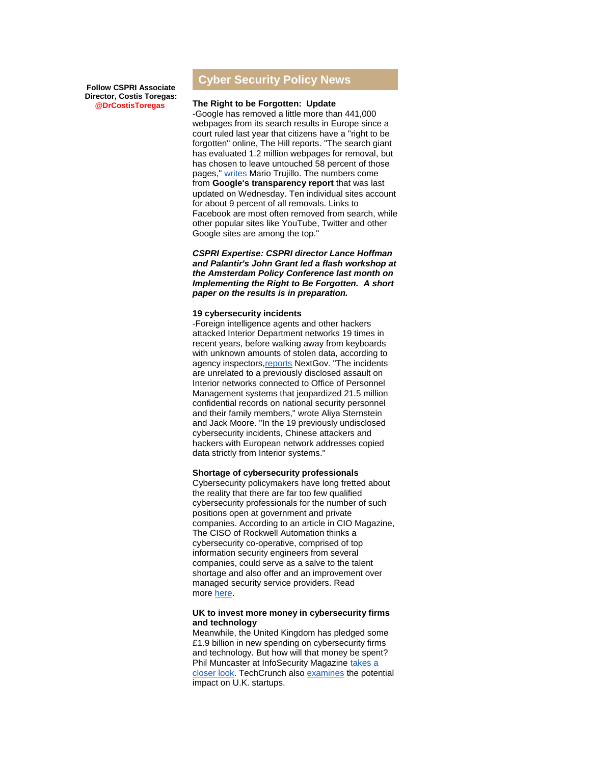**Follow CSPRI Associate Director, Costis Toregas: @DrCostisToregas**

# **Cyber Security Policy News**

#### **The Right to be Forgotten: Update**

-Google has removed a little more than 441,000 webpages from its search results in Europe since a court ruled last year that citizens have a "right to be forgotten" online, The Hill reports. "The search giant has evaluated 1.2 million webpages for removal, but has chosen to leave untouched 58 percent of those pages," [writes](http://r20.rs6.net/tn.jsp?f=001_dGAbsr7gKyXKZYhRiX_u6F_rLBZz1ExK44gSI9wEjs-KosgAIcQiWJlJyTTrM0fTkRPw6BCiLpoVrZA0XcPFbWngo-dL8tuJxyM7KbHdP1rz0Z4C_tohsBKt4fCe0pCQtsBOMv43IwUMMGEBrXWgE1RdyNepZJ5f3BJx9XQop5o3BbiK5Sa3D4uefGIa3cUUnoWnlfvXrGz5Y4rSAASJNWJfHApcOJw0C53Wi-D9Zs1OIMma8amvvNAG48kTPyN2P9AsrFBSvXShi2GqwAc16FLSv4cLxN2PBrOeFGGAWY=&c=wGkLpPSafl-FMFp1pVTpu8hxMLdBY78uNoANqc5ZUHyaObpAj-kcYw==&ch=rRH19TzSlQ5KSTybJJGM2IhoifvwKbBmuY03gxnb5mtDkpSWlPo9zw==) Mario Trujillo. The numbers come from **[Google's transparency report](http://r20.rs6.net/tn.jsp?f=001_dGAbsr7gKyXKZYhRiX_u6F_rLBZz1ExK44gSI9wEjs-KosgAIcQiWJlJyTTrM0fagpS06H2EUlusRLwQPjNPYBFW_4B6ClWxN5zICMEB0f9C6mFmk7JJnGQePfeXhzSE1f9cD5lr2Em_i6Ql9cZhwOFolHRLyZKxZI4P93d-MWJj7P9LI4D5doTCxKylKmCmPC8TCaPE17rYKEvBobMlJrNXtDeEBRrIW_ymZ_DirA=&c=wGkLpPSafl-FMFp1pVTpu8hxMLdBY78uNoANqc5ZUHyaObpAj-kcYw==&ch=rRH19TzSlQ5KSTybJJGM2IhoifvwKbBmuY03gxnb5mtDkpSWlPo9zw==)** that was last updated on Wednesday. Ten individual sites account for about 9 percent of all removals. Links to Facebook are most often removed from search, while other popular sites like YouTube, Twitter and other Google sites are among the top."

*CSPRI Expertise: CSPRI director Lance Hoffman and Palantir's John Grant led a flash workshop at the Amsterdam Policy Conference last month on Implementing the Right to Be Forgotten. A short paper on the results is in preparation.*

#### **19 cybersecurity incidents**

-Foreign intelligence agents and other hackers attacked Interior Department networks 19 times in recent years, before walking away from keyboards with unknown amounts of stolen data, according to agency inspectors, reports NextGov. "The incidents are unrelated to a previously disclosed assault on Interior networks connected to Office of Personnel Management systems that jeopardized 21.5 million confidential records on national security personnel and their family members," wrote Aliya Sternstein and Jack Moore. "In the 19 previously undisclosed cybersecurity incidents, Chinese attackers and hackers with European network addresses copied data strictly from Interior systems."

#### **Shortage of cybersecurity professionals**

Cybersecurity policymakers have long fretted about the reality that there are far too few qualified cybersecurity professionals for the number of such positions open at government and private companies. According to an article in CIO Magazine, The CISO of Rockwell Automation thinks a cybersecurity co-operative, comprised of top information security engineers from several companies, could serve as a salve to the talent shortage and also offer and an improvement over managed security service providers. Read more [here.](http://r20.rs6.net/tn.jsp?f=001_dGAbsr7gKyXKZYhRiX_u6F_rLBZz1ExK44gSI9wEjs-KosgAIcQiWJlJyTTrM0fUVuoP0oKZaDaxeZoabtHeX0dS_sVewA5etvoGfea2WI-tVO2eMHDd0Dtv0zn2IpRykJ9KILFGtYs7Q8frN6cLuv2HoquvQee5MMIJSQ4zWF9NNPIpJlPAQFlR5MNRqknA32PIyKZhOWzRYc7ckzuruhDRHUz4387EhJnvGTeNNj9052tBrA2DpAvn1LuZ3ZA5S9lIH2RtDK9xyo7fJWn_NnpgYHEF3in&c=wGkLpPSafl-FMFp1pVTpu8hxMLdBY78uNoANqc5ZUHyaObpAj-kcYw==&ch=rRH19TzSlQ5KSTybJJGM2IhoifvwKbBmuY03gxnb5mtDkpSWlPo9zw==)

### **UK to invest more money in cybersecurity firms and technology**

Meanwhile, the United Kingdom has pledged some £1.9 billion in new spending on cybersecurity firms and technology. But how will that money be spent? Phil Muncaster at InfoSecurity Magazine takes a [closer look.](http://r20.rs6.net/tn.jsp?f=001_dGAbsr7gKyXKZYhRiX_u6F_rLBZz1ExK44gSI9wEjs-KosgAIcQiWJlJyTTrM0fravCZ9wlHXL-D1UJ0t1hmszn8IfajlKj1kauCYrNzkKSBjPWoU4uZb7VCbI-OwZFXWC_Qi_5uja8_hvKLGAQrzvn5nm-HdLbV6awS7qY28dzH6mPEbQLHaNimW6uKZqG7Q8-sxvmRQ7BiSBQcivmDOKWkJhZEPcUTZdmZEpZRGznv4xqAzC_sQ==&c=wGkLpPSafl-FMFp1pVTpu8hxMLdBY78uNoANqc5ZUHyaObpAj-kcYw==&ch=rRH19TzSlQ5KSTybJJGM2IhoifvwKbBmuY03gxnb5mtDkpSWlPo9zw==) TechCrunch also [examines](http://r20.rs6.net/tn.jsp?f=001_dGAbsr7gKyXKZYhRiX_u6F_rLBZz1ExK44gSI9wEjs-KosgAIcQiWJlJyTTrM0fL7cA0-jfH8VjRhLJN8tonzyfONa_5tMUtSbyJJdkK4WK3dq0ftiu05bSYA0nqI0dKHI2eKIukAfrTDO6B67R5Qpj7epX70-JCjZ1_R_sK_16ynhnTZ8Ft6KvCndZ06oOJtCGwVA0eGBeRgd88FKd2yREbZELayPy0JBpRGLDsHI7y45Dt5U2Kg==&c=wGkLpPSafl-FMFp1pVTpu8hxMLdBY78uNoANqc5ZUHyaObpAj-kcYw==&ch=rRH19TzSlQ5KSTybJJGM2IhoifvwKbBmuY03gxnb5mtDkpSWlPo9zw==) the potential impact on U.K. startups.